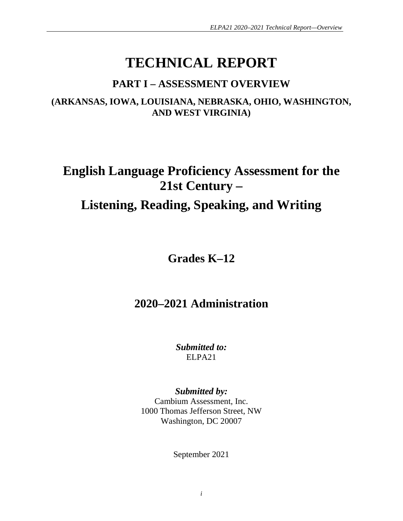# **TECHNICAL REPORT**

## **PART I – ASSESSMENT OVERVIEW**

**(ARKANSAS, IOWA, LOUISIANA, NEBRASKA, OHIO, WASHINGTON, AND WEST VIRGINIA)**

# **English Language Proficiency Assessment for the 21st Century – Listening, Reading, Speaking, and Writing**

**Grades K–12**

## **2020–2021 Administration**

*Submitted to:* ELPA21

*Submitted by:* Cambium Assessment, Inc. 1000 Thomas Jefferson Street, NW Washington, DC 20007

September 2021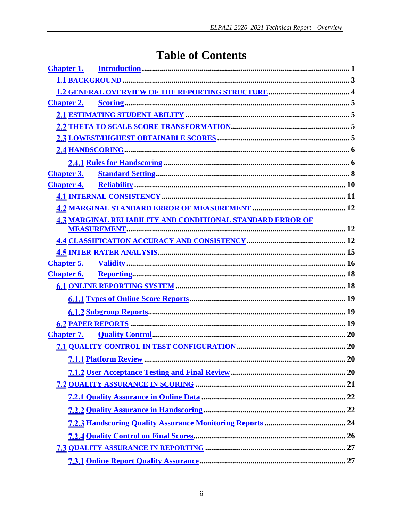## **Table of Contents**

| <b>Chapter 1.</b> |                                                                   |    |
|-------------------|-------------------------------------------------------------------|----|
|                   |                                                                   |    |
|                   |                                                                   |    |
| <b>Chapter 2.</b> |                                                                   |    |
|                   |                                                                   |    |
|                   |                                                                   |    |
|                   |                                                                   |    |
|                   |                                                                   |    |
|                   |                                                                   |    |
| <b>Chapter 3.</b> |                                                                   |    |
| <b>Chapter 4.</b> |                                                                   |    |
|                   |                                                                   |    |
|                   |                                                                   |    |
|                   | <b>4.3 MARGINAL RELIABILITY AND CONDITIONAL STANDARD ERROR OF</b> |    |
|                   |                                                                   |    |
|                   |                                                                   |    |
|                   |                                                                   |    |
|                   |                                                                   |    |
| <b>Chapter 6.</b> |                                                                   |    |
|                   |                                                                   |    |
|                   |                                                                   |    |
|                   |                                                                   |    |
|                   |                                                                   |    |
| <b>Chapter 7.</b> |                                                                   |    |
|                   |                                                                   |    |
|                   |                                                                   | 20 |
|                   |                                                                   |    |
|                   |                                                                   |    |
|                   |                                                                   |    |
|                   |                                                                   |    |
|                   |                                                                   |    |
|                   |                                                                   |    |
|                   |                                                                   |    |
|                   |                                                                   |    |
|                   |                                                                   |    |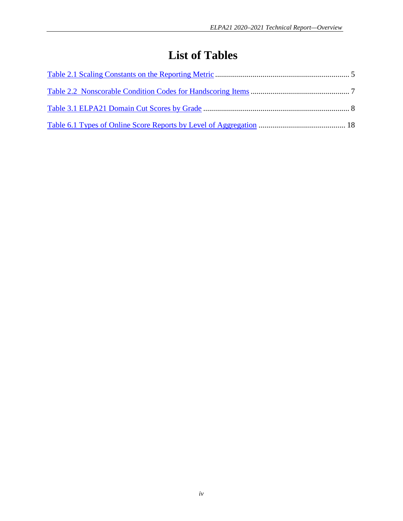## **List of Tables**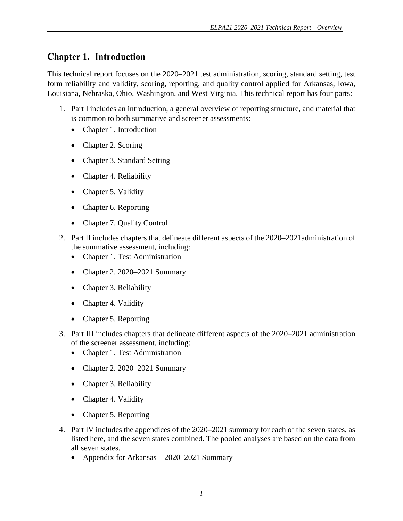## <span id="page-4-0"></span>**Chapter 1. Introduction**

This technical report focuses on the 2020–2021 test administration, scoring, standard setting, test form reliability and validity, scoring, reporting, and quality control applied for Arkansas, Iowa, Louisiana, Nebraska, Ohio, Washington, and West Virginia. This technical report has four parts:

- 1. Part I includes an introduction, a general overview of reporting structure, and material that is common to both summative and screener assessments:
	- Chapter 1. Introduction
	- Chapter 2. Scoring
	- Chapter 3. Standard Setting
	- Chapter 4. Reliability
	- Chapter 5. Validity
	- Chapter 6. Reporting
	- Chapter 7. Quality Control
- 2. Part II includes chapters that delineate different aspects of the 2020–2021administration of the summative assessment, including:
	- Chapter 1. Test Administration
	- Chapter 2. 2020–2021 Summary
	- Chapter 3. Reliability
	- Chapter 4. Validity
	- Chapter 5. Reporting
- 3. Part III includes chapters that delineate different aspects of the 2020–2021 administration of the screener assessment, including:
	- Chapter 1. Test Administration
	- Chapter 2. 2020–2021 Summary
	- Chapter 3. Reliability
	- Chapter 4. Validity
	- Chapter 5. Reporting
- 4. Part IV includes the appendices of the 2020–2021 summary for each of the seven states, as listed here, and the seven states combined. The pooled analyses are based on the data from all seven states.
	- Appendix for Arkansas—2020–2021 Summary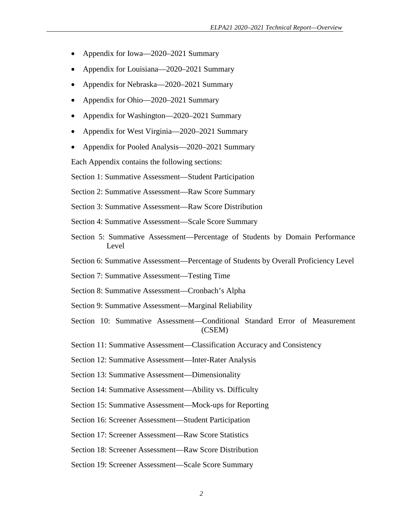- Appendix for Iowa—2020–2021 Summary
- Appendix for Louisiana—2020–2021 Summary
- Appendix for Nebraska—2020–2021 Summary
- Appendix for Ohio—2020–2021 Summary
- Appendix for Washington—2020–2021 Summary
- Appendix for West Virginia—2020–2021 Summary
- Appendix for Pooled Analysis—2020–2021 Summary

Each Appendix contains the following sections:

Section 1: Summative Assessment—Student Participation

Section 2: Summative Assessment—Raw Score Summary

Section 3: Summative Assessment—Raw Score Distribution

- Section 4: Summative Assessment—Scale Score Summary
- Section 5: Summative Assessment—Percentage of Students by Domain Performance Level
- Section 6: Summative Assessment—Percentage of Students by Overall Proficiency Level
- Section 7: Summative Assessment—Testing Time
- Section 8: Summative Assessment—Cronbach's Alpha
- Section 9: Summative Assessment—Marginal Reliability
- Section 10: Summative Assessment—Conditional Standard Error of Measurement (CSEM)
- Section 11: Summative Assessment—Classification Accuracy and Consistency

Section 12: Summative Assessment—Inter-Rater Analysis

Section 13: Summative Assessment—Dimensionality

Section 14: Summative Assessment—Ability vs. Difficulty

Section 15: Summative Assessment—Mock-ups for Reporting

Section 16: Screener Assessment—Student Participation

Section 17: Screener Assessment—Raw Score Statistics

Section 18: Screener Assessment—Raw Score Distribution

Section 19: Screener Assessment—Scale Score Summary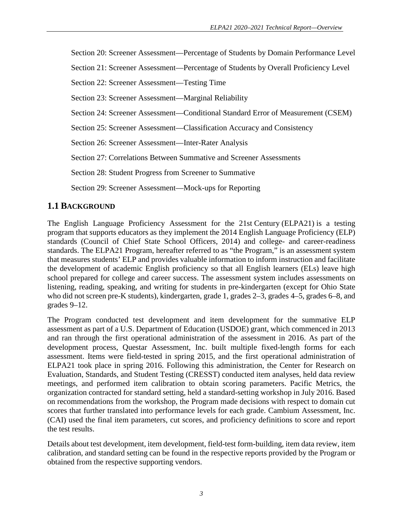Section 20: Screener Assessment—Percentage of Students by Domain Performance Level

Section 21: Screener Assessment—Percentage of Students by Overall Proficiency Level

Section 22: Screener Assessment—Testing Time

Section 23: Screener Assessment—Marginal Reliability

Section 24: Screener Assessment—Conditional Standard Error of Measurement (CSEM)

Section 25: Screener Assessment—Classification Accuracy and Consistency

Section 26: Screener Assessment—Inter-Rater Analysis

Section 27: Correlations Between Summative and Screener Assessments

Section 28: Student Progress from Screener to Summative

Section 29: Screener Assessment—Mock-ups for Reporting

#### <span id="page-6-0"></span>**1.1 BACKGROUND**

The English Language Proficiency Assessment for the 21st Century (ELPA21) is a testing program that supports educators as they implement the 2014 English Language Proficiency (ELP) standards (Council of Chief State School Officers, 2014) and college- and career-readiness standards. The ELPA21 Program, hereafter referred to as "the Program," is an assessment system that measures students' ELP and provides valuable information to inform instruction and facilitate the development of academic English proficiency so that all English learners (ELs) leave high school prepared for college and career success. The assessment system includes assessments on listening, reading, speaking, and writing for students in pre-kindergarten (except for Ohio State who did not screen pre-K students), kindergarten, grade 1, grades 2–3, grades 4–5, grades 6–8, and grades 9–12.

The Program conducted test development and item development for the summative ELP assessment as part of a U.S. Department of Education (USDOE) grant, which commenced in 2013 and ran through the first operational administration of the assessment in 2016. As part of the development process, Questar Assessment, Inc. built multiple fixed-length forms for each assessment. Items were field-tested in spring 2015, and the first operational administration of ELPA21 took place in spring 2016. Following this administration, the Center for Research on Evaluation, Standards, and Student Testing (CRESST) conducted item analyses, held data review meetings, and performed item calibration to obtain scoring parameters. Pacific Metrics, the organization contracted for standard setting, held a standard-setting workshop in July 2016. Based on recommendations from the workshop, the Program made decisions with respect to domain cut scores that further translated into performance levels for each grade. Cambium Assessment, Inc. (CAI) used the final item parameters, cut scores, and proficiency definitions to score and report the test results.

Details about test development, item development, field-test form-building, item data review, item calibration, and standard setting can be found in the respective reports provided by the Program or obtained from the respective supporting vendors.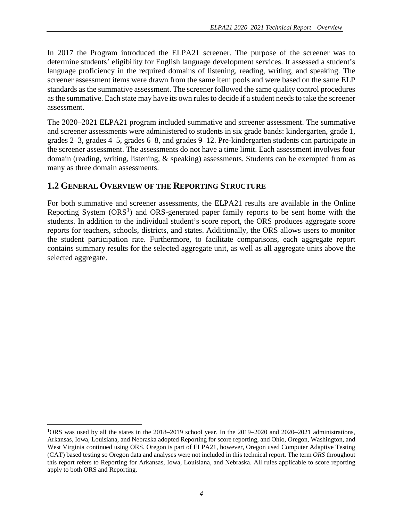In 2017 the Program introduced the ELPA21 screener. The purpose of the screener was to determine students' eligibility for English language development services. It assessed a student's language proficiency in the required domains of listening, reading, writing, and speaking. The screener assessment items were drawn from the same item pools and were based on the same ELP standards as the summative assessment. The screener followed the same quality control procedures as the summative. Each state may have its own rules to decide if a student needs to take the screener assessment.

The 2020–2021 ELPA21 program included summative and screener assessment. The summative and screener assessments were administered to students in six grade bands: kindergarten, grade 1, grades 2–3, grades 4–5, grades 6–8, and grades 9–12. Pre-kindergarten students can participate in the screener assessment. The assessments do not have a time limit. Each assessment involves four domain (reading, writing, listening, & speaking) assessments. Students can be exempted from as many as three domain assessments.

#### <span id="page-7-0"></span>**1.2 GENERAL OVERVIEW OF THE REPORTING STRUCTURE**

 $\overline{\phantom{a}}$ 

For both summative and screener assessments, the ELPA21 results are available in the Online Reporting System  $(ORS<sup>1</sup>)$  $(ORS<sup>1</sup>)$  $(ORS<sup>1</sup>)$  and ORS-generated paper family reports to be sent home with the students. In addition to the individual student's score report, the ORS produces aggregate score reports for teachers, schools, districts, and states. Additionally, the ORS allows users to monitor the student participation rate. Furthermore, to facilitate comparisons, each aggregate report contains summary results for the selected aggregate unit, as well as all aggregate units above the selected aggregate.

<span id="page-7-1"></span><sup>&</sup>lt;sup>1</sup>ORS was used by all the states in the 2018–2019 school year. In the 2019–2020 and 2020–2021 administrations, Arkansas, Iowa, Louisiana, and Nebraska adopted Reporting for score reporting, and Ohio, Oregon, Washington, and West Virginia continued using ORS. Oregon is part of ELPA21, however, Oregon used Computer Adaptive Testing (CAT) based testing so Oregon data and analyses were not included in this technical report. The term *ORS* throughout this report refers to Reporting for Arkansas, Iowa, Louisiana, and Nebraska. All rules applicable to score reporting apply to both ORS and Reporting.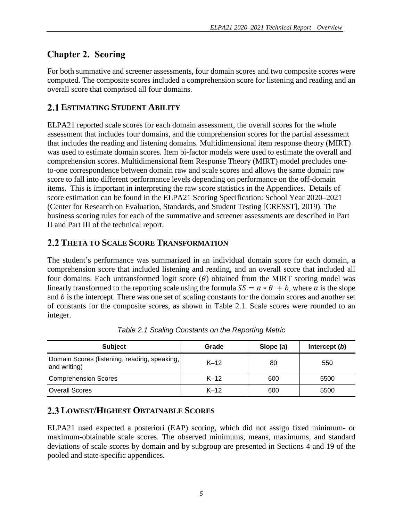## <span id="page-8-0"></span>**Chapter 2. Scoring**

For both summative and screener assessments, four domain scores and two composite scores were computed. The composite scores included a comprehension score for listening and reading and an overall score that comprised all four domains.

### <span id="page-8-1"></span>**ESTIMATING STUDENT ABILITY**

ELPA21 reported scale scores for each domain assessment, the overall scores for the whole assessment that includes four domains, and the comprehension scores for the partial assessment that includes the reading and listening domains. Multidimensional item response theory (MIRT) was used to estimate domain scores. Item bi-factor models were used to estimate the overall and comprehension scores. Multidimensional Item Response Theory (MIRT) model precludes oneto-one correspondence between domain raw and scale scores and allows the same domain raw score to fall into different performance levels depending on performance on the off-domain items. This is important in interpreting the raw score statistics in the Appendices. Details of score estimation can be found in the ELPA21 Scoring Specification: School Year 2020–2021 (Center for Research on Evaluation, Standards, and Student Testing [CRESST], 2019). The business scoring rules for each of the summative and screener assessments are described in Part II and Part III of the technical report.

#### <span id="page-8-2"></span>**THETA TO SCALE SCORE TRANSFORMATION**

The student's performance was summarized in an individual domain score for each domain, a comprehension score that included listening and reading, and an overall score that included all four domains. Each untransformed logit score  $(\theta)$  obtained from the MIRT scoring model was linearly transformed to the reporting scale using the formula  $SS = a * \theta + b$ , where a is the slope and  $b$  is the intercept. There was one set of scaling constants for the domain scores and another set of constants for the composite scores, as shown in [Table 2.1.](#page-8-4) Scale scores were rounded to an integer.

<span id="page-8-4"></span>

| <b>Subject</b>                                               | Grade  | Slope (a) | Intercept $(b)$ |
|--------------------------------------------------------------|--------|-----------|-----------------|
| Domain Scores (listening, reading, speaking,<br>and writing) | $K-12$ | 80        | 550             |
| <b>Comprehension Scores</b>                                  | $K-12$ | 600       | 5500            |
| <b>Overall Scores</b>                                        | $K-12$ | 600       | 5500            |

*Table 2.1 Scaling Constants on the Reporting Metric*

## <span id="page-8-3"></span>**LOWEST/HIGHEST OBTAINABLE SCORES**

ELPA21 used expected a posteriori (EAP) scoring, which did not assign fixed minimum- or maximum-obtainable scale scores. The observed minimums, means, maximums, and standard deviations of scale scores by domain and by subgroup are presented in Sections 4 and 19 of the pooled and state-specific appendices.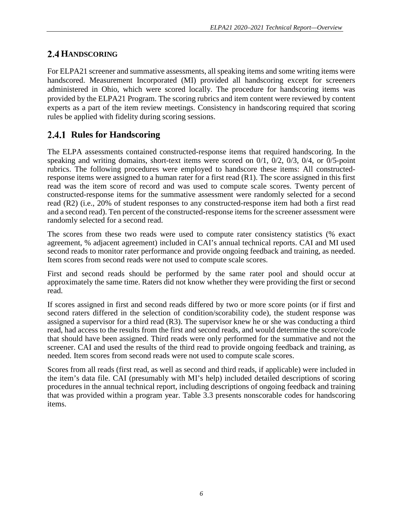#### <span id="page-9-0"></span>2.4 HANDSCORING

For ELPA21 screener and summative assessments, all speaking items and some writing items were handscored. Measurement Incorporated (MI) provided all handscoring except for screeners administered in Ohio, which were scored locally. The procedure for handscoring items was provided by the ELPA21 Program. The scoring rubrics and item content were reviewed by content experts as a part of the item review meetings. Consistency in handscoring required that scoring rules be applied with fidelity during scoring sessions.

### <span id="page-9-1"></span>**2.4.1 Rules for Handscoring**

The ELPA assessments contained constructed-response items that required handscoring. In the speaking and writing domains, short-text items were scored on 0/1, 0/2, 0/3, 0/4, or 0/5-point rubrics. The following procedures were employed to handscore these items: All constructedresponse items were assigned to a human rater for a first read (R1). The score assigned in this first read was the item score of record and was used to compute scale scores. Twenty percent of constructed-response items for the summative assessment were randomly selected for a second read (R2) (i.e., 20% of student responses to any constructed-response item had both a first read and a second read). Ten percent of the constructed-response items for the screener assessment were randomly selected for a second read.

The scores from these two reads were used to compute rater consistency statistics (% exact agreement, % adjacent agreement) included in CAI's annual technical reports. CAI and MI used second reads to monitor rater performance and provide ongoing feedback and training, as needed. Item scores from second reads were not used to compute scale scores.

First and second reads should be performed by the same rater pool and should occur at approximately the same time. Raters did not know whether they were providing the first or second read.

If scores assigned in first and second reads differed by two or more score points (or if first and second raters differed in the selection of condition/scorability code), the student response was assigned a supervisor for a third read (R3). The supervisor knew he or she was conducting a third read, had access to the results from the first and second reads, and would determine the score/code that should have been assigned. Third reads were only performed for the summative and not the screener. CAI and used the results of the third read to provide ongoing feedback and training, as needed. Item scores from second reads were not used to compute scale scores.

Scores from all reads (first read, as well as second and third reads, if applicable) were included in the item's data file. CAI (presumably with MI's help) included detailed descriptions of scoring procedures in the annual technical report, including descriptions of ongoing feedback and training that was provided within a program year. Table 3.3 presents nonscorable codes for handscoring items.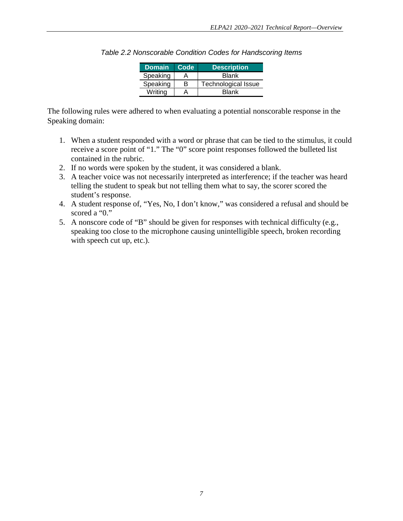| Domain   | Code | <b>Description</b>         |
|----------|------|----------------------------|
| Speaking | А    | <b>Blank</b>               |
| Speaking | в    | <b>Technological Issue</b> |
| Writina  |      | Blank                      |

*Table 2.2 Nonscorable Condition Codes for Handscoring Items*

The following rules were adhered to when evaluating a potential nonscorable response in the Speaking domain:

- 1. When a student responded with a word or phrase that can be tied to the stimulus, it could receive a score point of "1." The "0" score point responses followed the bulleted list contained in the rubric.
- 2. If no words were spoken by the student, it was considered a blank.
- 3. A teacher voice was not necessarily interpreted as interference; if the teacher was heard telling the student to speak but not telling them what to say, the scorer scored the student's response.
- 4. A student response of, "Yes, No, I don't know," was considered a refusal and should be scored a "0."
- 5. A nonscore code of "B" should be given for responses with technical difficulty (e.g., speaking too close to the microphone causing unintelligible speech, broken recording with speech cut up, etc.).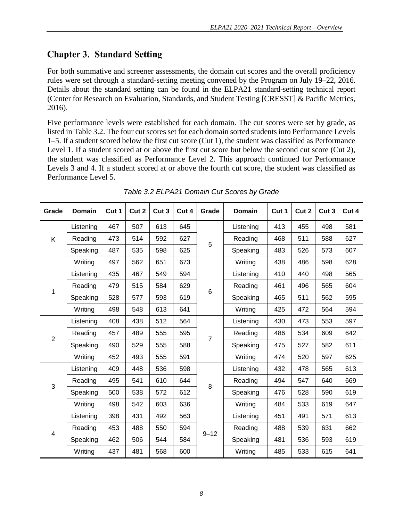## <span id="page-11-0"></span>**Chapter 3. Standard Setting**

For both summative and screener assessments, the domain cut scores and the overall proficiency rules were set through a standard-setting meeting convened by the Program on July 19–22, 2016. Details about the standard setting can be found in the ELPA21 standard-setting technical report (Center for Research on Evaluation, Standards, and Student Testing [CRESST] & Pacific Metrics, 2016).

Five performance levels were established for each domain. The cut scores were set by grade, as listed in [Table 3.2.](#page-11-1) The four cut scores set for each domain sorted students into Performance Levels 1–5. If a student scored below the first cut score (Cut 1), the student was classified as Performance Level 1. If a student scored at or above the first cut score but below the second cut score (Cut 2), the student was classified as Performance Level 2. This approach continued for Performance Levels 3 and 4. If a student scored at or above the fourth cut score, the student was classified as Performance Level 5.

<span id="page-11-1"></span>

| Grade                   | <b>Domain</b> | Cut 1 | Cut 2 | Cut 3 | Cut 4 | Grade    | <b>Domain</b> | Cut 1 | Cut 2 | Cut 3 | Cut 4 |
|-------------------------|---------------|-------|-------|-------|-------|----------|---------------|-------|-------|-------|-------|
| K                       | Listening     | 467   | 507   | 613   | 645   | 5        | Listening     | 413   | 455   | 498   | 581   |
|                         | Reading       | 473   | 514   | 592   | 627   |          | Reading       | 468   | 511   | 588   | 627   |
|                         | Speaking      | 487   | 535   | 598   | 625   |          | Speaking      | 483   | 526   | 573   | 607   |
|                         | Writing       | 497   | 562   | 651   | 673   |          | Writing       | 438   | 486   | 598   | 628   |
| 1                       | Listening     | 435   | 467   | 549   | 594   |          | Listening     | 410   | 440   | 498   | 565   |
|                         | Reading       | 479   | 515   | 584   | 629   | $\,6$    | Reading       | 461   | 496   | 565   | 604   |
|                         | Speaking      | 528   | 577   | 593   | 619   |          | Speaking      | 465   | 511   | 562   | 595   |
|                         | Writing       | 498   | 548   | 613   | 641   |          | Writing       | 425   | 472   | 564   | 594   |
| $\overline{2}$          | Listening     | 408   | 438   | 512   | 564   | 7        | Listening     | 430   | 473   | 553   | 597   |
|                         | Reading       | 457   | 489   | 555   | 595   |          | Reading       | 486   | 534   | 609   | 642   |
|                         | Speaking      | 490   | 529   | 555   | 588   |          | Speaking      | 475   | 527   | 582   | 611   |
|                         | Writing       | 452   | 493   | 555   | 591   |          | Writing       | 474   | 520   | 597   | 625   |
| 3                       | Listening     | 409   | 448   | 536   | 598   | 8        | Listening     | 432   | 478   | 565   | 613   |
|                         | Reading       | 495   | 541   | 610   | 644   |          | Reading       | 494   | 547   | 640   | 669   |
|                         | Speaking      | 500   | 538   | 572   | 612   |          | Speaking      | 476   | 528   | 590   | 619   |
|                         | Writing       | 498   | 542   | 603   | 636   |          | Writing       | 484   | 533   | 619   | 647   |
| $\overline{\mathbf{4}}$ | Listening     | 398   | 431   | 492   | 563   | $9 - 12$ | Listening     | 451   | 491   | 571   | 613   |
|                         | Reading       | 453   | 488   | 550   | 594   |          | Reading       | 488   | 539   | 631   | 662   |
|                         | Speaking      | 462   | 506   | 544   | 584   |          | Speaking      | 481   | 536   | 593   | 619   |
|                         | Writing       | 437   | 481   | 568   | 600   |          | Writing       | 485   | 533   | 615   | 641   |

*Table 3.2 ELPA21 Domain Cut Scores by Grade*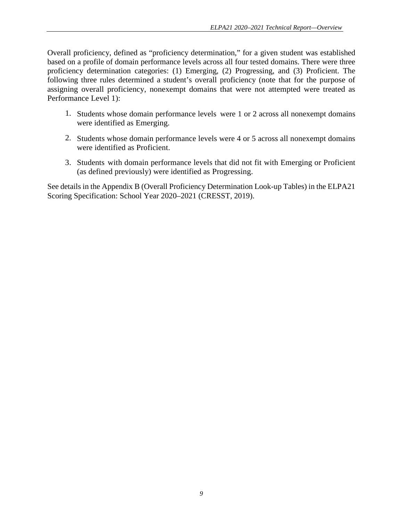Overall proficiency, defined as "proficiency determination," for a given student was established based on a profile of domain performance levels across all four tested domains. There were three proficiency determination categories: (1) Emerging, (2) Progressing, and (3) Proficient. The following three rules determined a student's overall proficiency (note that for the purpose of assigning overall proficiency, nonexempt domains that were not attempted were treated as Performance Level 1):

- 1. Students whose domain performance levels were 1 or 2 across all nonexempt domains were identified as Emerging.
- 2. Students whose domain performance levels were 4 or 5 across all nonexempt domains were identified as Proficient.
- 3. Students with domain performance levels that did not fit with Emerging or Proficient (as defined previously) were identified as Progressing.

See details in the Appendix B (Overall Proficiency Determination Look-up Tables) in the ELPA21 Scoring Specification: School Year 2020–2021 (CRESST, 2019).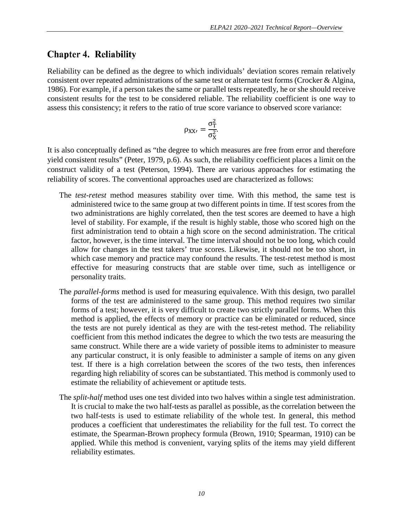#### <span id="page-13-0"></span>**Chapter 4. Reliability**

Reliability can be defined as the degree to which individuals' deviation scores remain relatively consistent over repeated administrations of the same test or alternate test forms (Crocker & Algina, 1986). For example, if a person takes the same or parallel tests repeatedly, he or she should receive consistent results for the test to be considered reliable. The reliability coefficient is one way to assess this consistency; it refers to the ratio of true score variance to observed score variance:

$$
\rho_{XX'}=\frac{\sigma_T^2}{\sigma_X^2}
$$

It is also conceptually defined as "the degree to which measures are free from error and therefore yield consistent results" (Peter, 1979, p.6). As such, the reliability coefficient places a limit on the construct validity of a test (Peterson, 1994). There are various approaches for estimating the reliability of scores. The conventional approaches used are characterized as follows:

- The *test-retest* method measures stability over time. With this method, the same test is administered twice to the same group at two different points in time. If test scores from the two administrations are highly correlated, then the test scores are deemed to have a high level of stability. For example, if the result is highly stable, those who scored high on the first administration tend to obtain a high score on the second administration. The critical factor, however, is the time interval. The time interval should not be too long, which could allow for changes in the test takers' true scores. Likewise, it should not be too short, in which case memory and practice may confound the results. The test-retest method is most effective for measuring constructs that are stable over time, such as intelligence or personality traits.
- The *parallel-forms* method is used for measuring equivalence. With this design, two parallel forms of the test are administered to the same group. This method requires two similar forms of a test; however, it is very difficult to create two strictly parallel forms. When this method is applied, the effects of memory or practice can be eliminated or reduced, since the tests are not purely identical as they are with the test-retest method. The reliability coefficient from this method indicates the degree to which the two tests are measuring the same construct. While there are a wide variety of possible items to administer to measure any particular construct, it is only feasible to administer a sample of items on any given test. If there is a high correlation between the scores of the two tests, then inferences regarding high reliability of scores can be substantiated. This method is commonly used to estimate the reliability of achievement or aptitude tests.
- The *split-half* method uses one test divided into two halves within a single test administration. It is crucial to make the two half-tests as parallel as possible, as the correlation between the two half-tests is used to estimate reliability of the whole test. In general, this method produces a coefficient that underestimates the reliability for the full test. To correct the estimate, the Spearman-Brown prophecy formula (Brown, 1910; Spearman, 1910) can be applied. While this method is convenient, varying splits of the items may yield different reliability estimates.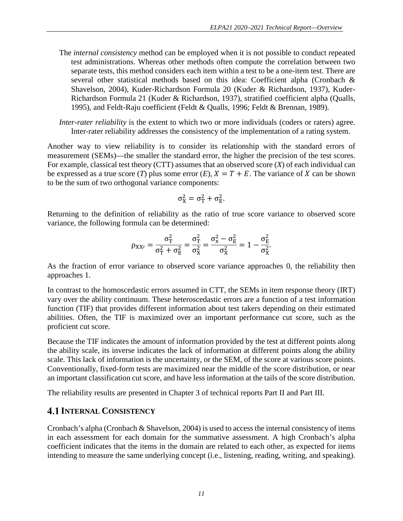- The *internal consistency* method can be employed when it is not possible to conduct repeated test administrations. Whereas other methods often compute the correlation between two separate tests, this method considers each item within a test to be a one-item test. There are several other statistical methods based on this idea: Coefficient alpha (Cronbach & Shavelson, 2004), Kuder-Richardson Formula 20 (Kuder & Richardson, 1937), Kuder-Richardson Formula 21 (Kuder & Richardson, 1937), stratified coefficient alpha (Qualls, 1995), and Feldt-Raju coefficient (Feldt & Qualls, 1996; Feldt & Brennan, 1989).
- *Inter-rater reliability* is the extent to which two or more individuals (coders or raters) agree. Inter-rater reliability addresses the consistency of the implementation of a rating system.

Another way to view reliability is to consider its relationship with the standard errors of measurement (SEMs)—the smaller the standard error, the higher the precision of the test scores. For example, classical test theory (CTT) assumes that an observed score (*X*) of each individual can be expressed as a true score (*T*) plus some error (*E*),  $X = T + E$ . The variance of *X* can be shown to be the sum of two orthogonal variance components:

$$
\sigma_X^2 = \sigma_T^2 + \sigma_E^2.
$$

Returning to the definition of reliability as the ratio of true score variance to observed score variance, the following formula can be determined:

$$
\rho_{XX'}=\frac{\sigma_T^2}{\sigma_T^2+\sigma_E^2}=\frac{\sigma_T^2}{\sigma_X^2}=\frac{\sigma_x^2-\sigma_E^2}{\sigma_X^2}=1-\frac{\sigma_E^2}{\sigma_X^2}.
$$

As the fraction of error variance to observed score variance approaches 0, the reliability then approaches 1.

In contrast to the homoscedastic errors assumed in CTT, the SEMs in item response theory (IRT) vary over the ability continuum. These heteroscedastic errors are a function of a test information function (TIF) that provides different information about test takers depending on their estimated abilities. Often, the TIF is maximized over an important performance cut score, such as the proficient cut score.

Because the TIF indicates the amount of information provided by the test at different points along the ability scale, its inverse indicates the lack of information at different points along the ability scale. This lack of information is the uncertainty, or the SEM, of the score at various score points. Conventionally, fixed-form tests are maximized near the middle of the score distribution, or near an important classification cut score, and have less information at the tails of the score distribution.

The reliability results are presented in Chapter 3 of technical reports Part II and Part III.

#### <span id="page-14-0"></span>**4.1 INTERNAL CONSISTENCY**

Cronbach's alpha (Cronbach & Shavelson, 2004) is used to access the internal consistency of items in each assessment for each domain for the summative assessment. A high Cronbach's alpha coefficient indicates that the items in the domain are related to each other, as expected for items intending to measure the same underlying concept (i.e., listening, reading, writing, and speaking).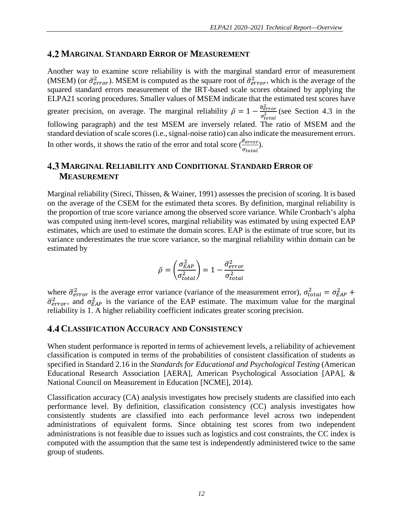#### <span id="page-15-0"></span>**MARGINAL STANDARD ERROR OF MEASUREMENT**

Another way to examine score reliability is with the marginal standard error of measurement (MSEM) (or  $\bar{\sigma}^2_{error}$ ). MSEM is computed as the square root of  $\bar{\sigma}^2_{error}$ , which is the average of the squared standard errors measurement of the IRT-based scale scores obtained by applying the ELPA21 scoring procedures. Smaller values of MSEM indicate that the estimated test scores have greater precision, on average. The marginal reliability  $\bar{\rho} = 1 - \frac{\bar{\sigma}_{error}^2}{\sigma_{total}^2}$  (see Section [4.3](#page-15-1) in the following paragraph) and the test MSEM are inversely related. The ratio of MSEM and the standard deviation of scale scores (i.e., signal-noise ratio) can also indicate the measurement errors. In other words, it shows the ratio of the error and total score  $\left(\frac{\overline{G}_{error}}{\overline{G}_{error}}\right)$  $\sigma_{tot}$ ).

#### <span id="page-15-1"></span>**MARGINAL RELIABILITY AND CONDITIONAL STANDARD ERROR OF MEASUREMENT**

Marginal reliability (Sireci, Thissen, & Wainer, 1991) assesses the precision of scoring. It is based on the average of the CSEM for the estimated theta scores. By definition, marginal reliability is the proportion of true score variance among the observed score variance. While Cronbach's alpha was computed using item-level scores, marginal reliability was estimated by using expected EAP estimates, which are used to estimate the domain scores. EAP is the estimate of true score, but its variance underestimates the true score variance, so the marginal reliability within domain can be estimated by

$$
\bar{\rho} = \left(\frac{\sigma_{EAP}^2}{\sigma_{total}^2}\right) = 1 - \frac{\bar{\sigma}_{error}^2}{\sigma_{total}^2}
$$

where  $\bar{\sigma}_{error}^2$  is the average error variance (variance of the measurement error),  $\sigma_{total}^2 = \sigma_{EAP}^2 + \sigma_{SAP}^2$  $\bar{\sigma}^2_{error}$ , and  $\sigma^2_{EAP}$  is the variance of the EAP estimate. The maximum value for the marginal reliability is 1. A higher reliability coefficient indicates greater scoring precision.

#### <span id="page-15-2"></span>**CLASSIFICATION ACCURACY AND CONSISTENCY**

When student performance is reported in terms of achievement levels, a reliability of achievement classification is computed in terms of the probabilities of consistent classification of students as specified in Standard 2.16 in the *Standards for Educational and Psychological Testing* (American Educational Research Association [AERA], American Psychological Association [APA], & National Council on Measurement in Education [NCME], 2014).

Classification accuracy (CA) analysis investigates how precisely students are classified into each performance level. By definition, classification consistency (CC) analysis investigates how consistently students are classified into each performance level across two independent administrations of equivalent forms. Since obtaining test scores from two independent administrations is not feasible due to issues such as logistics and cost constraints, the CC index is computed with the assumption that the same test is independently administered twice to the same group of students.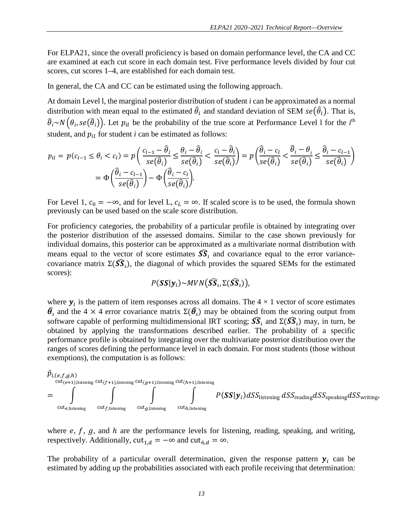For ELPA21, since the overall proficiency is based on domain performance level, the CA and CC are examined at each cut score in each domain test. Five performance levels divided by four cut scores, cut scores 1–4, are established for each domain test.

In general, the CA and CC can be estimated using the following approach.

At domain Level l, the marginal posterior distribution of student *i* can be approximated as a normal distribution with mean equal to the estimated  $\hat{\theta}_i$  and standard deviation of SEM  $se(\hat{\theta}_i)$ . That is,  $\widehat\theta_i$ ~ $N\big(\theta_i,se(\widehat\theta_i)\big)$ . Let  $p_{il}$  be the probability of the true score at Performance Level 1 for the  $i^{\rm th}$ student, and  $p_{il}$  for student  $i$  can be estimated as follows:

$$
p_{il} = p(c_{l-1} \le \theta_i < c_l) = p\left(\frac{c_{l-1} - \hat{\theta}_i}{se(\hat{\theta}_i)} \le \frac{\theta_i - \hat{\theta}_i}{se(\hat{\theta}_i)} < \frac{c_l - \hat{\theta}_i}{se(\hat{\theta}_i)}\right) = p\left(\frac{\hat{\theta}_i - c_l}{se(\hat{\theta}_i)} < \frac{\hat{\theta}_i - \theta_i}{se(\hat{\theta}_i)} \le \frac{\hat{\theta}_i - c_{l-1}}{se(\hat{\theta}_i)}\right) = \Phi\left(\frac{\hat{\theta}_i - c_{l-1}}{se(\hat{\theta}_i)}\right) - \Phi\left(\frac{\hat{\theta}_i - c_l}{se(\hat{\theta}_i)}\right).
$$

For Level 1,  $c_0 = -\infty$ , and for level L,  $c_L = \infty$ . If scaled score is to be used, the formula shown previously can be used based on the scale score distribution.

For proficiency categories, the probability of a particular profile is obtained by integrating over the posterior distribution of the assessed domains. Similar to the case shown previously for individual domains, this posterior can be approximated as a multivariate normal distribution with means equal to the vector of score estimates  $S\hat{S}_l$  and covariance equal to the error variancecovariance matrix  $\Sigma(\widehat{SS}_1)$ , the diagonal of which provides the squared SEMs for the estimated scores):

$$
P(\mathbf{SS}|\mathbf{y}_i) \sim MVN(\widehat{\mathbf{SS}}_i, \Sigma(\widehat{\mathbf{SS}}_i)),
$$

where  $y_i$  is the pattern of item responses across all domains. The  $4 \times 1$  vector of score estimates  $\hat{\theta}_l$  and the 4 × 4 error covariance matrix  $\Sigma(\hat{\theta}_l)$  may be obtained from the scoring output from software capable of performing multidimensional IRT scoring;  $\widehat{SS}_l$  and  $\Sigma(\widehat{SS}_l)$  may, in turn, be obtained by applying the transformations described earlier. The probability of a specific performance profile is obtained by integrating over the multivariate posterior distribution over the ranges of scores defining the performance level in each domain. For most students (those without exemptions), the computation is as follows:



where  $e, f, g$ , and  $h$  are the performance levels for listening, reading, speaking, and writing, respectively. Additionally,  $cut_{1,d} = -\infty$  and  $cut_{6,d} = \infty$ .

The probability of a particular overall determination, given the response pattern  $y_i$  can be estimated by adding up the probabilities associated with each profile receiving that determination: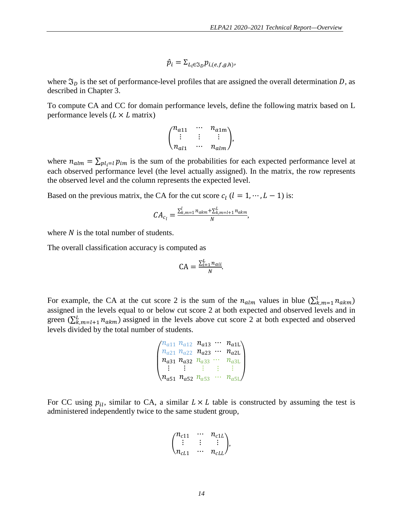$$
\hat{p}_i = \Sigma_{L_i \in \mathfrak{I}_D} p_{i,(e,f,g,h)},
$$

where  $\mathfrak{I}_D$  is the set of performance-level profiles that are assigned the overall determination D, as described in Chapter 3.

To compute CA and CC for domain performance levels, define the following matrix based on L performance levels  $(L \times L \text{ matrix})$ 

$$
\begin{pmatrix} n_{a11} & \cdots & n_{a1m} \\ \vdots & \vdots & & \vdots \\ n_{a11} & \cdots & n_{alm} \end{pmatrix},
$$

where  $n_{\text{alm}} = \sum_{\text{pl}_i=1} p_{\text{im}}$  is the sum of the probabilities for each expected performance level at each observed performance level (the level actually assigned). In the matrix, the row represents the observed level and the column represents the expected level.

Based on the previous matrix, the CA for the cut score  $c_l$  ( $l = 1, \dots, L - 1$ ) is:

$$
CA_{c_l} = \frac{\sum_{k,m=1}^{l} n_{akm} + \sum_{k,m=l+1}^{L} n_{akm}}{N},
$$

where  $N$  is the total number of students.

The overall classification accuracy is computed as

$$
CA = \frac{\sum_{i=1}^{L} n_{ai}}{N}.
$$

For example, the CA at the cut score 2 is the sum of the  $n_{\text{alm}}$  values in blue  $(\sum_{k,m=1}^{l} n_{\text{akm}})$ assigned in the levels equal to or below cut score 2 at both expected and observed levels and in green ( $\sum_{k,m=l+1}^{L} n_{akm}$ ) assigned in the levels above cut score 2 at both expected and observed levels divided by the total number of students.

```
\lambda\mathsf{L}\mathsf{L}n_{a11}n_{a21}n_{a31}⋮
n_{a51}n_{a12}n_{a22}n_{a32}⋮
             n_{a52}n_{a13}n_{a23}n_{a33}⋮
                         n_{a53}\ddots\ddots\ddot{\phantom{0}}⋮
                                       \ddot{\phantom{0}}n_{a1L}n_{a2L}n_{a3\mathrm{L}}⋮
                                                n_{a5L}/\blacksquare⎞
```
For CC using  $p_{il}$ , similar to CA, a similar  $L \times L$  table is constructed by assuming the test is administered independently twice to the same student group,

$$
\begin{pmatrix} n_{c11} & \cdots & n_{c1L} \\ \vdots & \vdots & \vdots \\ n_{cL1} & \cdots & n_{cLL} \end{pmatrix},
$$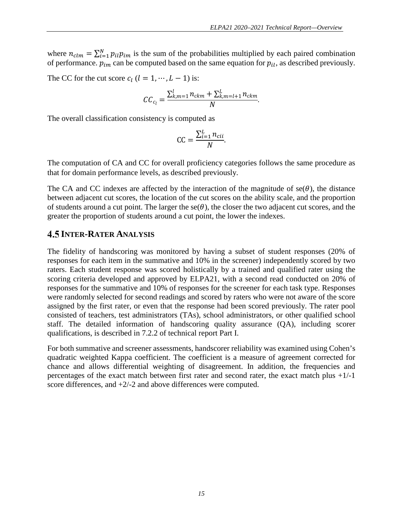where  $n_{clm} = \sum_{i=1}^{N} p_{il} p_{im}$  is the sum of the probabilities multiplied by each paired combination of performance.  $p_{im}$  can be computed based on the same equation for  $p_{il}$ , as described previously.

The CC for the cut score  $c_l$   $(l = 1, \dots, L - 1)$  is:

$$
CC_{c_l} = \frac{\sum_{k,m=1}^{l} n_{ckm} + \sum_{k,m=l+1}^{L} n_{ckm}}{N}.
$$

The overall classification consistency is computed as

$$
CC = \frac{\sum_{i=1}^{L} n_{cii}}{N}.
$$

The computation of CA and CC for overall proficiency categories follows the same procedure as that for domain performance levels, as described previously.

The CA and CC indexes are affected by the interaction of the magnitude of  $se(\theta)$ , the distance between adjacent cut scores, the location of the cut scores on the ability scale, and the proportion of students around a cut point. The larger the se( $\theta$ ), the closer the two adjacent cut scores, and the greater the proportion of students around a cut point, the lower the indexes.

#### <span id="page-18-0"></span>**4.5 INTER-RATER ANALYSIS**

The fidelity of handscoring was monitored by having a subset of student responses (20% of responses for each item in the summative and 10% in the screener) independently scored by two raters. Each student response was scored holistically by a trained and qualified rater using the scoring criteria developed and approved by ELPA21, with a second read conducted on 20% of responses for the summative and 10% of responses for the screener for each task type. Responses were randomly selected for second readings and scored by raters who were not aware of the score assigned by the first rater, or even that the response had been scored previously. The rater pool consisted of teachers, test administrators (TAs), school administrators, or other qualified school staff. The detailed information of handscoring quality assurance (QA), including scorer qualifications, is described in 7.2.2 of technical report Part I.

For both summative and screener assessments, handscorer reliability was examined using Cohen's quadratic weighted Kappa coefficient. The coefficient is a measure of agreement corrected for chance and allows differential weighting of disagreement. In addition, the frequencies and percentages of the exact match between first rater and second rater, the exact match plus +1/-1 score differences, and +2/-2 and above differences were computed.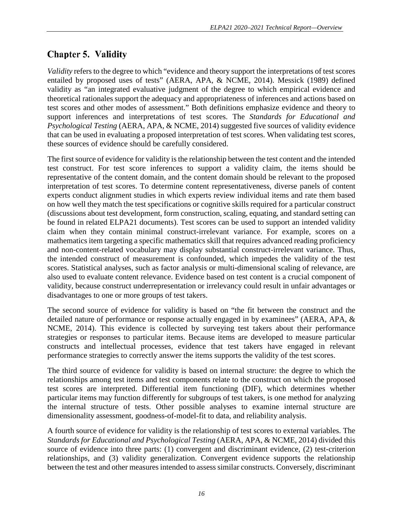## <span id="page-19-0"></span>**Chapter 5. Validity**

*Validity* refers to the degree to which "evidence and theory support the interpretations of test scores entailed by proposed uses of tests" (AERA, APA, & NCME, 2014). Messick (1989) defined validity as "an integrated evaluative judgment of the degree to which empirical evidence and theoretical rationales support the adequacy and appropriateness of inferences and actions based on test scores and other modes of assessment." Both definitions emphasize evidence and theory to support inferences and interpretations of test scores. The *Standards for Educational and Psychological Testing* (AERA, APA, & NCME, 2014) suggested five sources of validity evidence that can be used in evaluating a proposed interpretation of test scores. When validating test scores, these sources of evidence should be carefully considered.

The first source of evidence for validity is the relationship between the test content and the intended test construct. For test score inferences to support a validity claim, the items should be representative of the content domain, and the content domain should be relevant to the proposed interpretation of test scores. To determine content representativeness, diverse panels of content experts conduct alignment studies in which experts review individual items and rate them based on how well they match the test specifications or cognitive skills required for a particular construct (discussions about test development, form construction, scaling, equating, and standard setting can be found in related ELPA21 documents). Test scores can be used to support an intended validity claim when they contain minimal construct-irrelevant variance. For example, scores on a mathematics item targeting a specific mathematics skill that requires advanced reading proficiency and non-content-related vocabulary may display substantial construct-irrelevant variance. Thus, the intended construct of measurement is confounded, which impedes the validity of the test scores. Statistical analyses, such as factor analysis or multi-dimensional scaling of relevance, are also used to evaluate content relevance. Evidence based on test content is a crucial component of validity, because construct underrepresentation or irrelevancy could result in unfair advantages or disadvantages to one or more groups of test takers.

The second source of evidence for validity is based on "the fit between the construct and the detailed nature of performance or response actually engaged in by examinees" (AERA, APA, & NCME, 2014). This evidence is collected by surveying test takers about their performance strategies or responses to particular items. Because items are developed to measure particular constructs and intellectual processes, evidence that test takers have engaged in relevant performance strategies to correctly answer the items supports the validity of the test scores.

The third source of evidence for validity is based on internal structure: the degree to which the relationships among test items and test components relate to the construct on which the proposed test scores are interpreted. Differential item functioning (DIF), which determines whether particular items may function differently for subgroups of test takers, is one method for analyzing the internal structure of tests. Other possible analyses to examine internal structure are dimensionality assessment, goodness-of-model-fit to data, and reliability analysis.

A fourth source of evidence for validity is the relationship of test scores to external variables. The *Standards for Educational and Psychological Testing* (AERA, APA, & NCME, 2014) divided this source of evidence into three parts: (1) convergent and discriminant evidence, (2) test-criterion relationships, and (3) validity generalization. Convergent evidence supports the relationship between the test and other measures intended to assess similar constructs. Conversely, discriminant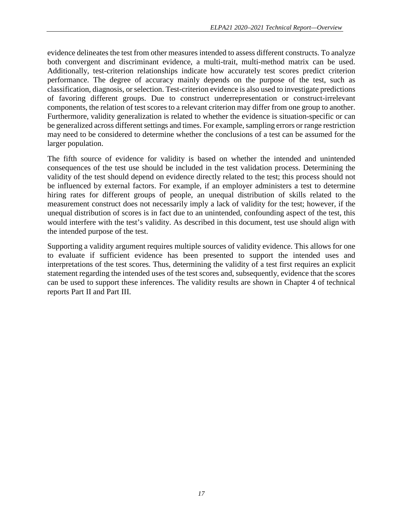evidence delineates the test from other measures intended to assess different constructs. To analyze both convergent and discriminant evidence, a multi-trait, multi-method matrix can be used. Additionally, test-criterion relationships indicate how accurately test scores predict criterion performance. The degree of accuracy mainly depends on the purpose of the test, such as classification, diagnosis, or selection. Test-criterion evidence is also used to investigate predictions of favoring different groups. Due to construct underrepresentation or construct-irrelevant components, the relation of test scores to a relevant criterion may differ from one group to another. Furthermore, validity generalization is related to whether the evidence is situation-specific or can be generalized across different settings and times. For example, sampling errors or range restriction may need to be considered to determine whether the conclusions of a test can be assumed for the larger population.

The fifth source of evidence for validity is based on whether the intended and unintended consequences of the test use should be included in the test validation process. Determining the validity of the test should depend on evidence directly related to the test; this process should not be influenced by external factors. For example, if an employer administers a test to determine hiring rates for different groups of people, an unequal distribution of skills related to the measurement construct does not necessarily imply a lack of validity for the test; however, if the unequal distribution of scores is in fact due to an unintended, confounding aspect of the test, this would interfere with the test's validity. As described in this document, test use should align with the intended purpose of the test.

Supporting a validity argument requires multiple sources of validity evidence. This allows for one to evaluate if sufficient evidence has been presented to support the intended uses and interpretations of the test scores. Thus, determining the validity of a test first requires an explicit statement regarding the intended uses of the test scores and, subsequently, evidence that the scores can be used to support these inferences. The validity results are shown in Chapter 4 of technical reports Part II and Part III.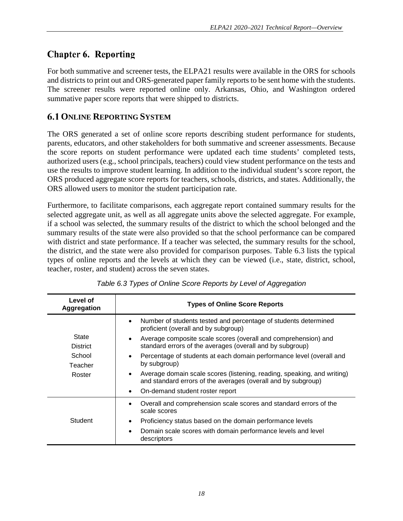## <span id="page-21-0"></span>**Chapter 6. Reporting**

For both summative and screener tests, the ELPA21 results were available in the ORS for schools and districts to print out and ORS-generated paper family reports to be sent home with the students. The screener results were reported online only. Arkansas, Ohio, and Washington ordered summative paper score reports that were shipped to districts.

#### <span id="page-21-1"></span>**6.1 ONLINE REPORTING SYSTEM**

The ORS generated a set of online score reports describing student performance for students, parents, educators, and other stakeholders for both summative and screener assessments. Because the score reports on student performance were updated each time students' completed tests, authorized users (e.g., school principals, teachers) could view student performance on the tests and use the results to improve student learning. In addition to the individual student's score report, the ORS produced aggregate score reports for teachers, schools, districts, and states. Additionally, the ORS allowed users to monitor the student participation rate.

Furthermore, to facilitate comparisons, each aggregate report contained summary results for the selected aggregate unit, as well as all aggregate units above the selected aggregate. For example, if a school was selected, the summary results of the district to which the school belonged and the summary results of the state were also provided so that the school performance can be compared with district and state performance. If a teacher was selected, the summary results for the school, the district, and the state were also provided for comparison purposes. [Table 6.3](#page-21-2) lists the typical types of online reports and the levels at which they can be viewed (i.e., state, district, school, teacher, roster, and student) across the seven states.

<span id="page-21-2"></span>

| Level of<br><b>Aggregation</b> | <b>Types of Online Score Reports</b>                                                                                                                  |  |  |  |  |  |  |
|--------------------------------|-------------------------------------------------------------------------------------------------------------------------------------------------------|--|--|--|--|--|--|
|                                | Number of students tested and percentage of students determined<br>$\bullet$<br>proficient (overall and by subgroup)                                  |  |  |  |  |  |  |
| State<br><b>District</b>       | Average composite scale scores (overall and comprehension) and<br>$\bullet$<br>standard errors of the averages (overall and by subgroup)              |  |  |  |  |  |  |
| School<br>Teacher              | Percentage of students at each domain performance level (overall and<br>$\bullet$<br>by subgroup)                                                     |  |  |  |  |  |  |
| Roster                         | Average domain scale scores (listening, reading, speaking, and writing)<br>$\bullet$<br>and standard errors of the averages (overall and by subgroup) |  |  |  |  |  |  |
|                                | On-demand student roster report<br>$\bullet$                                                                                                          |  |  |  |  |  |  |
|                                | Overall and comprehension scale scores and standard errors of the<br>scale scores                                                                     |  |  |  |  |  |  |
| Student                        | Proficiency status based on the domain performance levels<br>$\bullet$                                                                                |  |  |  |  |  |  |
|                                | Domain scale scores with domain performance levels and level<br>$\bullet$<br>descriptors                                                              |  |  |  |  |  |  |

*Table 6.3 Types of Online Score Reports by Level of Aggregation*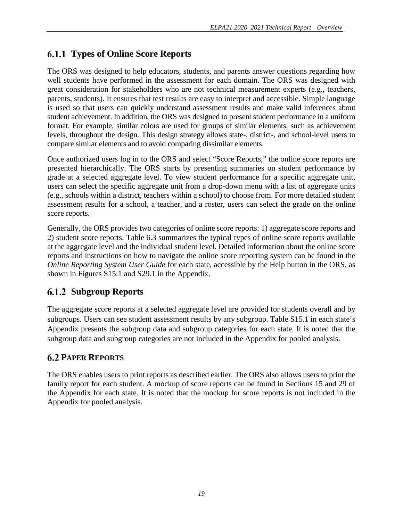## <span id="page-22-0"></span>**Types of Online Score Reports**

The ORS was designed to help educators, students, and parents answer questions regarding how well students have performed in the assessment for each domain. The ORS was designed with great consideration for stakeholders who are not technical measurement experts (e.g., teachers, parents, students). It ensures that test results are easy to interpret and accessible. Simple language is used so that users can quickly understand assessment results and make valid inferences about student achievement. In addition, the ORS was designed to present student performance in a uniform format. For example, similar colors are used for groups of similar elements, such as achievement levels, throughout the design. This design strategy allows state-, district-, and school-level users to compare similar elements and to avoid comparing dissimilar elements.

Once authorized users log in to the ORS and select "Score Reports," the online score reports are presented hierarchically. The ORS starts by presenting summaries on student performance by grade at a selected aggregate level. To view student performance for a specific aggregate unit, users can select the specific aggregate unit from a drop-down menu with a list of aggregate units (e.g., schools within a district, teachers within a school) to choose from. For more detailed student assessment results for a school, a teacher, and a roster, users can select the grade on the online score reports.

Generally, the ORS provides two categories of online score reports: 1) aggregate score reports and 2) student score reports. [Table 6.3](#page-21-2) summarizes the typical types of online score reports available at the aggregate level and the individual student level. Detailed information about the online score reports and instructions on how to navigate the online score reporting system can be found in the *Online Reporting System User Guide* for each state, accessible by the Help button in the ORS, as shown in Figures S15.1 and S29.1 in the Appendix.

#### <span id="page-22-1"></span>**Subgroup Reports**

The aggregate score reports at a selected aggregate level are provided for students overall and by subgroups. Users can see student assessment results by any subgroup. Table S15.1 in each state's Appendix presents the subgroup data and subgroup categories for each state. It is noted that the subgroup data and subgroup categories are not included in the Appendix for pooled analysis.

#### <span id="page-22-2"></span>**6.2 PAPER REPORTS**

The ORS enables users to print reports as described earlier. The ORS also allows users to print the family report for each student. A mockup of score reports can be found in Sections 15 and 29 of the Appendix for each state. It is noted that the mockup for score reports is not included in the Appendix for pooled analysis.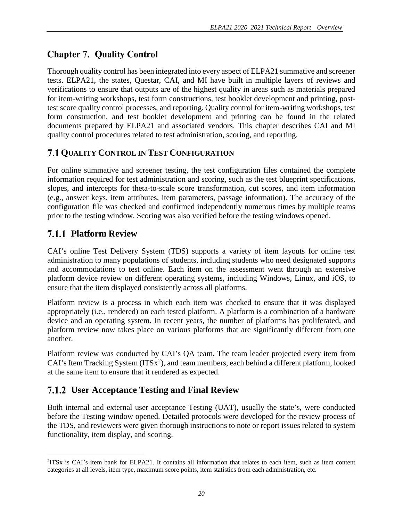## <span id="page-23-0"></span>**Chapter 7. Quality Control**

Thorough quality control has been integrated into every aspect of ELPA21 summative and screener tests. ELPA21, the states, Questar, CAI, and MI have built in multiple layers of reviews and verifications to ensure that outputs are of the highest quality in areas such as materials prepared for item-writing workshops, test form constructions, test booklet development and printing, posttest score quality control processes, and reporting. Quality control for item-writing workshops, test form construction, and test booklet development and printing can be found in the related documents prepared by ELPA21 and associated vendors. This chapter describes CAI and MI quality control procedures related to test administration, scoring, and reporting.

#### <span id="page-23-1"></span>**7.1 QUALITY CONTROL IN TEST CONFIGURATION**

For online summative and screener testing, the test configuration files contained the complete information required for test administration and scoring, such as the test blueprint specifications, slopes, and intercepts for theta-to-scale score transformation, cut scores, and item information (e.g., answer keys, item attributes, item parameters, passage information). The accuracy of the configuration file was checked and confirmed independently numerous times by multiple teams prior to the testing window. Scoring was also verified before the testing windows opened.

#### <span id="page-23-2"></span>**Platform Review**

l

CAI's online Test Delivery System (TDS) supports a variety of item layouts for online test administration to many populations of students, including students who need designated supports and accommodations to test online. Each item on the assessment went through an extensive platform device review on different operating systems, including Windows, Linux, and iOS, to ensure that the item displayed consistently across all platforms.

Platform review is a process in which each item was checked to ensure that it was displayed appropriately (i.e., rendered) on each tested platform. A platform is a combination of a hardware device and an operating system. In recent years, the number of platforms has proliferated, and platform review now takes place on various platforms that are significantly different from one another.

Platform review was conducted by CAI's QA team. The team leader projected every item from CAI's Item Tracking System  $(TTSx<sup>2</sup>)$  $(TTSx<sup>2</sup>)$  $(TTSx<sup>2</sup>)$ , and team members, each behind a different platform, looked at the same item to ensure that it rendered as expected.

#### <span id="page-23-3"></span>**User Acceptance Testing and Final Review**

Both internal and external user acceptance Testing (UAT), usually the state's, were conducted before the Testing window opened. Detailed protocols were developed for the review process of the TDS, and reviewers were given thorough instructions to note or report issues related to system functionality, item display, and scoring.

<span id="page-23-4"></span><sup>2</sup> ITSx is CAI's item bank for ELPA21. It contains all information that relates to each item, such as item content categories at all levels, item type, maximum score points, item statistics from each administration, etc.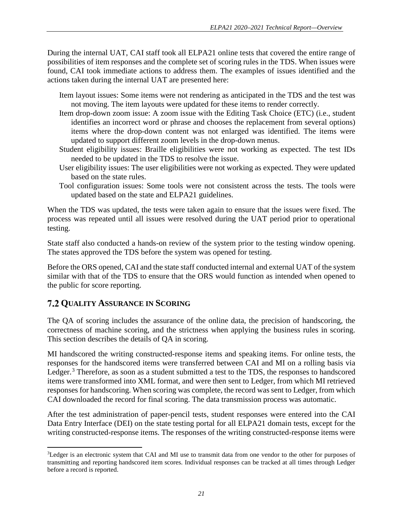During the internal UAT, CAI staff took all ELPA21 online tests that covered the entire range of possibilities of item responses and the complete set of scoring rules in the TDS. When issues were found, CAI took immediate actions to address them. The examples of issues identified and the actions taken during the internal UAT are presented here:

- Item layout issues: Some items were not rendering as anticipated in the TDS and the test was not moving. The item layouts were updated for these items to render correctly.
- Item drop-down zoom issue: A zoom issue with the Editing Task Choice (ETC) (i.e., student identifies an incorrect word or phrase and chooses the replacement from several options) items where the drop-down content was not enlarged was identified. The items were updated to support different zoom levels in the drop-down menus.
- Student eligibility issues: Braille eligibilities were not working as expected. The test IDs needed to be updated in the TDS to resolve the issue.
- User eligibility issues: The user eligibilities were not working as expected. They were updated based on the state rules.
- Tool configuration issues: Some tools were not consistent across the tests. The tools were updated based on the state and ELPA21 guidelines.

When the TDS was updated, the tests were taken again to ensure that the issues were fixed. The process was repeated until all issues were resolved during the UAT period prior to operational testing.

State staff also conducted a hands-on review of the system prior to the testing window opening. The states approved the TDS before the system was opened for testing.

Before the ORS opened, CAI and the state staff conducted internal and external UAT of the system similar with that of the TDS to ensure that the ORS would function as intended when opened to the public for score reporting.

#### <span id="page-24-0"></span>**7.2 QUALITY ASSURANCE IN SCORING**

The QA of scoring includes the assurance of the online data, the precision of handscoring, the correctness of machine scoring, and the strictness when applying the business rules in scoring. This section describes the details of QA in scoring.

MI handscored the writing constructed-response items and speaking items. For online tests, the responses for the handscored items were transferred between CAI and MI on a rolling basis via Ledger.<sup>[3](#page-24-1)</sup> Therefore, as soon as a student submitted a test to the TDS, the responses to handscored items were transformed into XML format, and were then sent to Ledger, from which MI retrieved responses for handscoring. When scoring was complete, the record was sent to Ledger, from which CAI downloaded the record for final scoring. The data transmission process was automatic.

After the test administration of paper-pencil tests, student responses were entered into the CAI Data Entry Interface (DEI) on the state testing portal for all ELPA21 domain tests, except for the writing constructed-response items. The responses of the writing constructed-response items were

<span id="page-24-1"></span> $\overline{\phantom{a}}$ <sup>3</sup>Ledger is an electronic system that CAI and MI use to transmit data from one vendor to the other for purposes of transmitting and reporting handscored item scores. Individual responses can be tracked at all times through Ledger before a record is reported.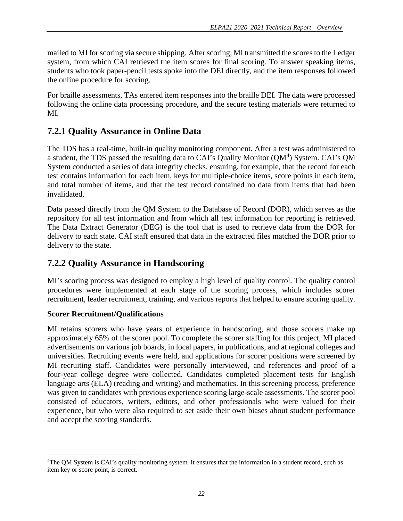mailed to MI for scoring via secure shipping. After scoring, MI transmitted the scores to the Ledger system, from which CAI retrieved the item scores for final scoring. To answer speaking items, students who took paper-pencil tests spoke into the DEI directly, and the item responses followed the online procedure for scoring.

For braille assessments, TAs entered item responses into the braille DEI. The data were processed following the online data processing procedure, and the secure testing materials were returned to MI.

## <span id="page-25-0"></span>**7.2.1 Quality Assurance in Online Data**

The TDS has a real-time, built-in quality monitoring component. After a test was administered to a student, the TDS passed the resulting data to CAI's Quality Monitor (QM<sup>[4](#page-25-2)</sup>) System. CAI's QM System conducted a series of data integrity checks, ensuring, for example, that the record for each test contains information for each item, keys for multiple-choice items, score points in each item, and total number of items, and that the test record contained no data from items that had been invalidated.

Data passed directly from the QM System to the Database of Record (DOR), which serves as the repository for all test information and from which all test information for reporting is retrieved. The Data Extract Generator (DEG) is the tool that is used to retrieve data from the DOR for delivery to each state. CAI staff ensured that data in the extracted files matched the DOR prior to delivery to the state.

## <span id="page-25-1"></span>**7.2.2 Quality Assurance in Handscoring**

MI's scoring process was designed to employ a high level of quality control. The quality control procedures were implemented at each stage of the scoring process, which includes scorer recruitment, leader recruitment, training, and various reports that helped to ensure scoring quality.

#### **Scorer Recruitment/Qualifications**

l

MI retains scorers who have years of experience in handscoring, and those scorers make up approximately 65% of the scorer pool. To complete the scorer staffing for this project, MI placed advertisements on various job boards, in local papers, in publications, and at regional colleges and universities. Recruiting events were held, and applications for scorer positions were screened by MI recruiting staff. Candidates were personally interviewed, and references and proof of a four-year college degree were collected. Candidates completed placement tests for English language arts (ELA) (reading and writing) and mathematics. In this screening process, preference was given to candidates with previous experience scoring large-scale assessments. The scorer pool consisted of educators, writers, editors, and other professionals who were valued for their experience, but who were also required to set aside their own biases about student performance and accept the scoring standards.

<span id="page-25-2"></span><sup>&</sup>lt;sup>4</sup>The QM System is CAI's quality monitoring system. It ensures that the information in a student record, such as item key or score point, is correct.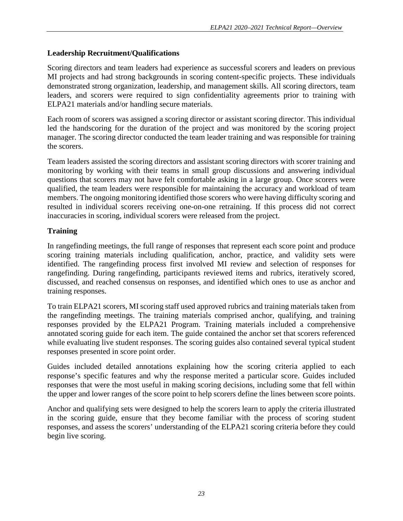#### **Leadership Recruitment/Qualifications**

Scoring directors and team leaders had experience as successful scorers and leaders on previous MI projects and had strong backgrounds in scoring content-specific projects. These individuals demonstrated strong organization, leadership, and management skills. All scoring directors, team leaders, and scorers were required to sign confidentiality agreements prior to training with ELPA21 materials and/or handling secure materials.

Each room of scorers was assigned a scoring director or assistant scoring director. This individual led the handscoring for the duration of the project and was monitored by the scoring project manager. The scoring director conducted the team leader training and was responsible for training the scorers.

Team leaders assisted the scoring directors and assistant scoring directors with scorer training and monitoring by working with their teams in small group discussions and answering individual questions that scorers may not have felt comfortable asking in a large group. Once scorers were qualified, the team leaders were responsible for maintaining the accuracy and workload of team members. The ongoing monitoring identified those scorers who were having difficulty scoring and resulted in individual scorers receiving one-on-one retraining. If this process did not correct inaccuracies in scoring, individual scorers were released from the project.

#### **Training**

In rangefinding meetings, the full range of responses that represent each score point and produce scoring training materials including qualification, anchor, practice, and validity sets were identified. The rangefinding process first involved MI review and selection of responses for rangefinding. During rangefinding, participants reviewed items and rubrics, iteratively scored, discussed, and reached consensus on responses, and identified which ones to use as anchor and training responses.

To train ELPA21 scorers, MI scoring staff used approved rubrics and training materials taken from the rangefinding meetings. The training materials comprised anchor, qualifying, and training responses provided by the ELPA21 Program. Training materials included a comprehensive annotated scoring guide for each item. The guide contained the anchor set that scorers referenced while evaluating live student responses. The scoring guides also contained several typical student responses presented in score point order.

Guides included detailed annotations explaining how the scoring criteria applied to each response's specific features and why the response merited a particular score. Guides included responses that were the most useful in making scoring decisions, including some that fell within the upper and lower ranges of the score point to help scorers define the lines between score points.

Anchor and qualifying sets were designed to help the scorers learn to apply the criteria illustrated in the scoring guide, ensure that they become familiar with the process of scoring student responses, and assess the scorers' understanding of the ELPA21 scoring criteria before they could begin live scoring.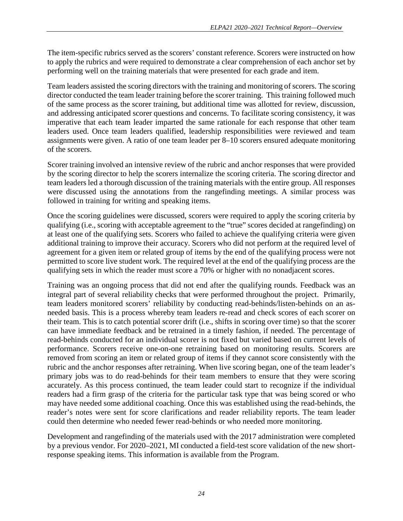The item-specific rubrics served as the scorers' constant reference. Scorers were instructed on how to apply the rubrics and were required to demonstrate a clear comprehension of each anchor set by performing well on the training materials that were presented for each grade and item.

Team leaders assisted the scoring directors with the training and monitoring of scorers. The scoring director conducted the team leader training before the scorer training. This training followed much of the same process as the scorer training, but additional time was allotted for review, discussion, and addressing anticipated scorer questions and concerns. To facilitate scoring consistency, it was imperative that each team leader imparted the same rationale for each response that other team leaders used. Once team leaders qualified, leadership responsibilities were reviewed and team assignments were given. A ratio of one team leader per 8–10 scorers ensured adequate monitoring of the scorers.

Scorer training involved an intensive review of the rubric and anchor responses that were provided by the scoring director to help the scorers internalize the scoring criteria. The scoring director and team leaders led a thorough discussion of the training materials with the entire group. All responses were discussed using the annotations from the rangefinding meetings. A similar process was followed in training for writing and speaking items.

Once the scoring guidelines were discussed, scorers were required to apply the scoring criteria by qualifying (i.e., scoring with acceptable agreement to the "true" scores decided at rangefinding) on at least one of the qualifying sets. Scorers who failed to achieve the qualifying criteria were given additional training to improve their accuracy. Scorers who did not perform at the required level of agreement for a given item or related group of items by the end of the qualifying process were not permitted to score live student work. The required level at the end of the qualifying process are the qualifying sets in which the reader must score a 70% or higher with no nonadjacent scores.

Training was an ongoing process that did not end after the qualifying rounds. Feedback was an integral part of several reliability checks that were performed throughout the project. Primarily, team leaders monitored scorers' reliability by conducting read-behinds/listen-behinds on an asneeded basis. This is a process whereby team leaders re-read and check scores of each scorer on their team. This is to catch potential scorer drift (i.e., shifts in scoring over time) so that the scorer can have immediate feedback and be retrained in a timely fashion, if needed. The percentage of read-behinds conducted for an individual scorer is not fixed but varied based on current levels of performance. Scorers receive one-on-one retraining based on monitoring results. Scorers are removed from scoring an item or related group of items if they cannot score consistently with the rubric and the anchor responses after retraining. When live scoring began, one of the team leader's primary jobs was to do read-behinds for their team members to ensure that they were scoring accurately. As this process continued, the team leader could start to recognize if the individual readers had a firm grasp of the criteria for the particular task type that was being scored or who may have needed some additional coaching. Once this was established using the read-behinds, the reader's notes were sent for score clarifications and reader reliability reports. The team leader could then determine who needed fewer read-behinds or who needed more monitoring.

Development and rangefinding of the materials used with the 2017 administration were completed by a previous vendor. For 2020–2021, MI conducted a field-test score validation of the new shortresponse speaking items. This information is available from the Program.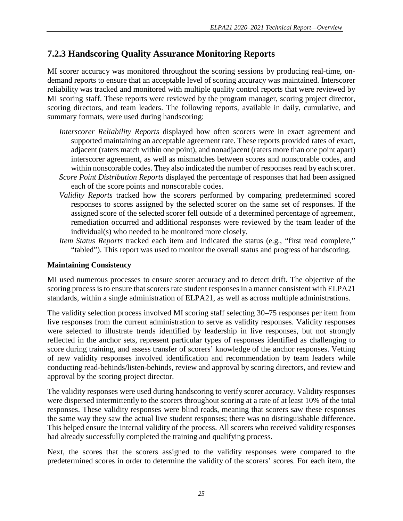### <span id="page-28-0"></span>**7.2.3 Handscoring Quality Assurance Monitoring Reports**

MI scorer accuracy was monitored throughout the scoring sessions by producing real-time, ondemand reports to ensure that an acceptable level of scoring accuracy was maintained. Interscorer reliability was tracked and monitored with multiple quality control reports that were reviewed by MI scoring staff. These reports were reviewed by the program manager, scoring project director, scoring directors, and team leaders. The following reports, available in daily, cumulative, and summary formats, were used during handscoring:

- *Interscorer Reliability Reports* displayed how often scorers were in exact agreement and supported maintaining an acceptable agreement rate. These reports provided rates of exact, adjacent (raters match within one point), and nonadjacent (raters more than one point apart) interscorer agreement, as well as mismatches between scores and nonscorable codes, and within nonscorable codes. They also indicated the number of responses read by each scorer. *Score Point Distribution Reports* displayed the percentage of responses that had been assigned
- each of the score points and nonscorable codes.
- *Validity Reports* tracked how the scorers performed by comparing predetermined scored responses to scores assigned by the selected scorer on the same set of responses. If the assigned score of the selected scorer fell outside of a determined percentage of agreement, remediation occurred and additional responses were reviewed by the team leader of the individual(s) who needed to be monitored more closely.
- *Item Status Reports* tracked each item and indicated the status (e.g., "first read complete," "tabled"). This report was used to monitor the overall status and progress of handscoring.

#### **Maintaining Consistency**

MI used numerous processes to ensure scorer accuracy and to detect drift. The objective of the scoring process is to ensure that scorers rate student responses in a manner consistent with ELPA21 standards, within a single administration of ELPA21, as well as across multiple administrations.

The validity selection process involved MI scoring staff selecting 30–75 responses per item from live responses from the current administration to serve as validity responses. Validity responses were selected to illustrate trends identified by leadership in live responses, but not strongly reflected in the anchor sets, represent particular types of responses identified as challenging to score during training, and assess transfer of scorers' knowledge of the anchor responses. Vetting of new validity responses involved identification and recommendation by team leaders while conducting read-behinds/listen-behinds, review and approval by scoring directors, and review and approval by the scoring project director.

The validity responses were used during handscoring to verify scorer accuracy. Validity responses were dispersed intermittently to the scorers throughout scoring at a rate of at least 10% of the total responses. These validity responses were blind reads, meaning that scorers saw these responses the same way they saw the actual live student responses; there was no distinguishable difference. This helped ensure the internal validity of the process. All scorers who received validity responses had already successfully completed the training and qualifying process.

Next, the scores that the scorers assigned to the validity responses were compared to the predetermined scores in order to determine the validity of the scorers' scores. For each item, the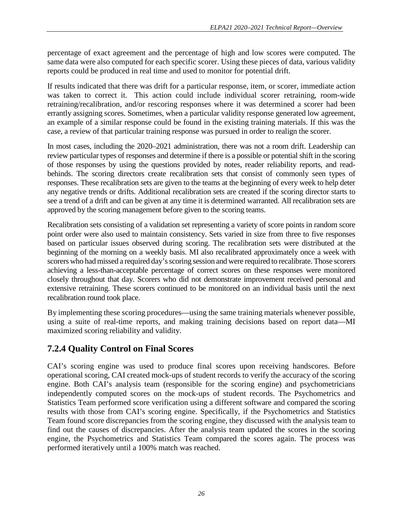percentage of exact agreement and the percentage of high and low scores were computed. The same data were also computed for each specific scorer. Using these pieces of data, various validity reports could be produced in real time and used to monitor for potential drift.

If results indicated that there was drift for a particular response, item, or scorer, immediate action was taken to correct it. This action could include individual scorer retraining, room-wide retraining/recalibration, and/or rescoring responses where it was determined a scorer had been errantly assigning scores. Sometimes, when a particular validity response generated low agreement, an example of a similar response could be found in the existing training materials. If this was the case, a review of that particular training response was pursued in order to realign the scorer.

In most cases, including the 2020–2021 administration, there was not a room drift. Leadership can review particular types of responses and determine if there is a possible or potential shift in the scoring of those responses by using the questions provided by notes, reader reliability reports, and readbehinds. The scoring directors create recalibration sets that consist of commonly seen types of responses. These recalibration sets are given to the teams at the beginning of every week to help deter any negative trends or drifts. Additional recalibration sets are created if the scoring director starts to see a trend of a drift and can be given at any time it is determined warranted. All recalibration sets are approved by the scoring management before given to the scoring teams.

Recalibration sets consisting of a validation set representing a variety of score points in random score point order were also used to maintain consistency. Sets varied in size from three to five responses based on particular issues observed during scoring. The recalibration sets were distributed at the beginning of the morning on a weekly basis. MI also recalibrated approximately once a week with scorers who had missed a required day's scoring session and were required to recalibrate. Those scorers achieving a less-than-acceptable percentage of correct scores on these responses were monitored closely throughout that day. Scorers who did not demonstrate improvement received personal and extensive retraining. These scorers continued to be monitored on an individual basis until the next recalibration round took place.

By implementing these scoring procedures—using the same training materials whenever possible, using a suite of real-time reports, and making training decisions based on report data—MI maximized scoring reliability and validity.

## <span id="page-29-0"></span>**7.2.4 Quality Control on Final Scores**

CAI's scoring engine was used to produce final scores upon receiving handscores. Before operational scoring, CAI created mock-ups of student records to verify the accuracy of the scoring engine. Both CAI's analysis team (responsible for the scoring engine) and psychometricians independently computed scores on the mock-ups of student records. The Psychometrics and Statistics Team performed score verification using a different software and compared the scoring results with those from CAI's scoring engine. Specifically, if the Psychometrics and Statistics Team found score discrepancies from the scoring engine, they discussed with the analysis team to find out the causes of discrepancies. After the analysis team updated the scores in the scoring engine, the Psychometrics and Statistics Team compared the scores again. The process was performed iteratively until a 100% match was reached.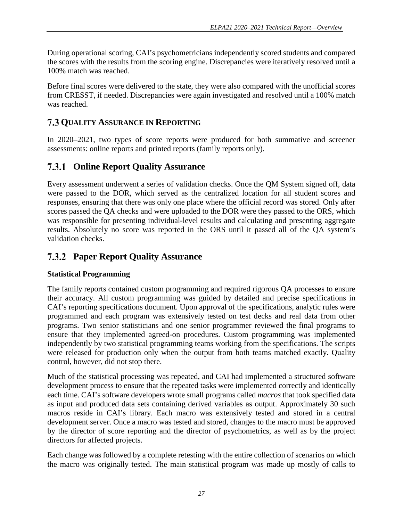During operational scoring, CAI's psychometricians independently scored students and compared the scores with the results from the scoring engine. Discrepancies were iteratively resolved until a 100% match was reached.

Before final scores were delivered to the state, they were also compared with the unofficial scores from CRESST, if needed. Discrepancies were again investigated and resolved until a 100% match was reached.

### <span id="page-30-0"></span>**QUALITY ASSURANCE IN REPORTING**

In 2020–2021, two types of score reports were produced for both summative and screener assessments: online reports and printed reports (family reports only).

#### <span id="page-30-1"></span>**Online Report Quality Assurance**

Every assessment underwent a series of validation checks. Once the QM System signed off, data were passed to the DOR, which served as the centralized location for all student scores and responses, ensuring that there was only one place where the official record was stored. Only after scores passed the QA checks and were uploaded to the DOR were they passed to the ORS, which was responsible for presenting individual-level results and calculating and presenting aggregate results. Absolutely no score was reported in the ORS until it passed all of the QA system's validation checks.

#### <span id="page-30-2"></span>**Paper Report Quality Assurance**

#### **Statistical Programming**

The family reports contained custom programming and required rigorous QA processes to ensure their accuracy. All custom programming was guided by detailed and precise specifications in CAI's reporting specifications document. Upon approval of the specifications, analytic rules were programmed and each program was extensively tested on test decks and real data from other programs. Two senior statisticians and one senior programmer reviewed the final programs to ensure that they implemented agreed-on procedures. Custom programming was implemented independently by two statistical programming teams working from the specifications. The scripts were released for production only when the output from both teams matched exactly. Quality control, however, did not stop there.

Much of the statistical processing was repeated, and CAI had implemented a structured software development process to ensure that the repeated tasks were implemented correctly and identically each time. CAI's software developers wrote small programs called *macros* that took specified data as input and produced data sets containing derived variables as output. Approximately 30 such macros reside in CAI's library. Each macro was extensively tested and stored in a central development server. Once a macro was tested and stored, changes to the macro must be approved by the director of score reporting and the director of psychometrics, as well as by the project directors for affected projects.

Each change was followed by a complete retesting with the entire collection of scenarios on which the macro was originally tested. The main statistical program was made up mostly of calls to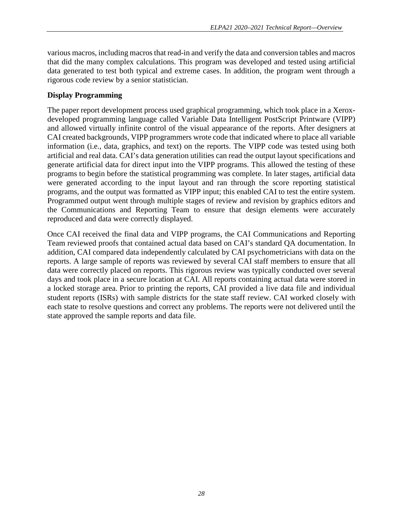various macros, including macros that read-in and verify the data and conversion tables and macros that did the many complex calculations. This program was developed and tested using artificial data generated to test both typical and extreme cases. In addition, the program went through a rigorous code review by a senior statistician.

#### **Display Programming**

The paper report development process used graphical programming, which took place in a Xeroxdeveloped programming language called Variable Data Intelligent PostScript Printware (VIPP) and allowed virtually infinite control of the visual appearance of the reports. After designers at CAI created backgrounds, VIPP programmers wrote code that indicated where to place all variable information (i.e., data, graphics, and text) on the reports. The VIPP code was tested using both artificial and real data. CAI's data generation utilities can read the output layout specifications and generate artificial data for direct input into the VIPP programs. This allowed the testing of these programs to begin before the statistical programming was complete. In later stages, artificial data were generated according to the input layout and ran through the score reporting statistical programs, and the output was formatted as VIPP input; this enabled CAI to test the entire system. Programmed output went through multiple stages of review and revision by graphics editors and the Communications and Reporting Team to ensure that design elements were accurately reproduced and data were correctly displayed.

Once CAI received the final data and VIPP programs, the CAI Communications and Reporting Team reviewed proofs that contained actual data based on CAI's standard QA documentation. In addition, CAI compared data independently calculated by CAI psychometricians with data on the reports. A large sample of reports was reviewed by several CAI staff members to ensure that all data were correctly placed on reports. This rigorous review was typically conducted over several days and took place in a secure location at CAI. All reports containing actual data were stored in a locked storage area. Prior to printing the reports, CAI provided a live data file and individual student reports (ISRs) with sample districts for the state staff review. CAI worked closely with each state to resolve questions and correct any problems. The reports were not delivered until the state approved the sample reports and data file.